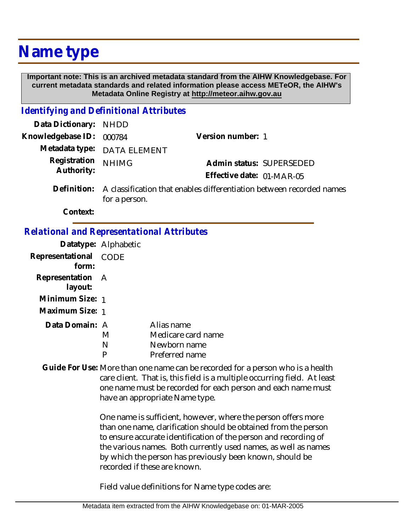## **Name type**

 **Important note: This is an archived metadata standard from the AIHW Knowledgebase. For current metadata standards and related information please access METeOR, the AIHW's Metadata Online Registry at http://meteor.aihw.gov.au**

## *Identifying and Definitional Attributes*

| Data Dictionary: NHDD            |                             |                                                                              |
|----------------------------------|-----------------------------|------------------------------------------------------------------------------|
| Knowledgebase ID: 000784         |                             | Version number: 1                                                            |
|                                  | Metadata type: DATA ELEMENT |                                                                              |
| Registration NHIMG<br>Authority: |                             | Admin status: SUPERSEDED                                                     |
|                                  |                             | Effective date: 01-MAR-05                                                    |
|                                  |                             | Definition: A classification that enables differentiation between recorded n |

A classification that enables differentiation between recorded names for a person. **Definition:**

**Context:**

## *Relational and Representational Attributes*

|                  | Datatype: Alphabetic |                    |
|------------------|----------------------|--------------------|
| Representational | CODE                 |                    |
| form:            |                      |                    |
| Representation A |                      |                    |
| layout:          |                      |                    |
| Minimum Size: 1  |                      |                    |
| Maximum Size: 1  |                      |                    |
| Data Domain: A   |                      | Alias name         |
|                  | M                    | Medicare card name |
|                  | N                    | Newborn name       |
|                  |                      | Preferred name     |

Guide For Use: More than one name can be recorded for a person who is a health care client. That is, this field is a multiple occurring field. At least one name must be recorded for each person and each name must have an appropriate Name type.

> One name is sufficient, however, where the person offers more than one name, clarification should be obtained from the person to ensure accurate identification of the person and recording of the various names. Both currently used names, as well as names by which the person has previously been known, should be recorded if these are known.

Field value definitions for Name type codes are: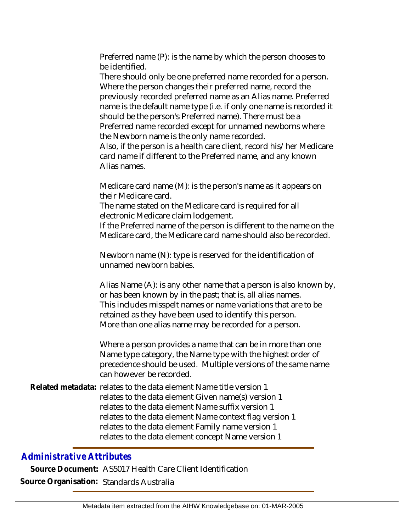Preferred name (P): is the name by which the person chooses to be identified.

There should only be one preferred name recorded for a person. Where the person changes their preferred name, record the previously recorded preferred name as an Alias name. Preferred name is the default name type (i.e. if only one name is recorded it should be the person's Preferred name). There must be a Preferred name recorded except for unnamed newborns where the Newborn name is the only name recorded.

Also, if the person is a health care client, record his/her Medicare card name if different to the Preferred name, and any known Alias names.

Medicare card name (M): is the person's name as it appears on their Medicare card.

The name stated on the Medicare card is required for all electronic Medicare claim lodgement.

If the Preferred name of the person is different to the name on the Medicare card, the Medicare card name should also be recorded.

Newborn name (N): type is reserved for the identification of unnamed newborn babies.

Alias Name (A): is any other name that a person is also known by, or has been known by in the past; that is, all alias names. This includes misspelt names or name variations that are to be retained as they have been used to identify this person. More than one alias name may be recorded for a person.

Where a person provides a name that can be in more than one Name type category, the Name type with the highest order of precedence should be used. Multiple versions of the same name can however be recorded.

Related metadata: relates to the data element Name title version 1 relates to the data element Given name(s) version 1 relates to the data element Name suffix version 1 relates to the data element Name context flag version 1 relates to the data element Family name version 1 relates to the data element concept Name version 1

## *Administrative Attributes*

**Source Document:** AS5017 Health Care Client Identification **Source Organisation:** Standards Australia